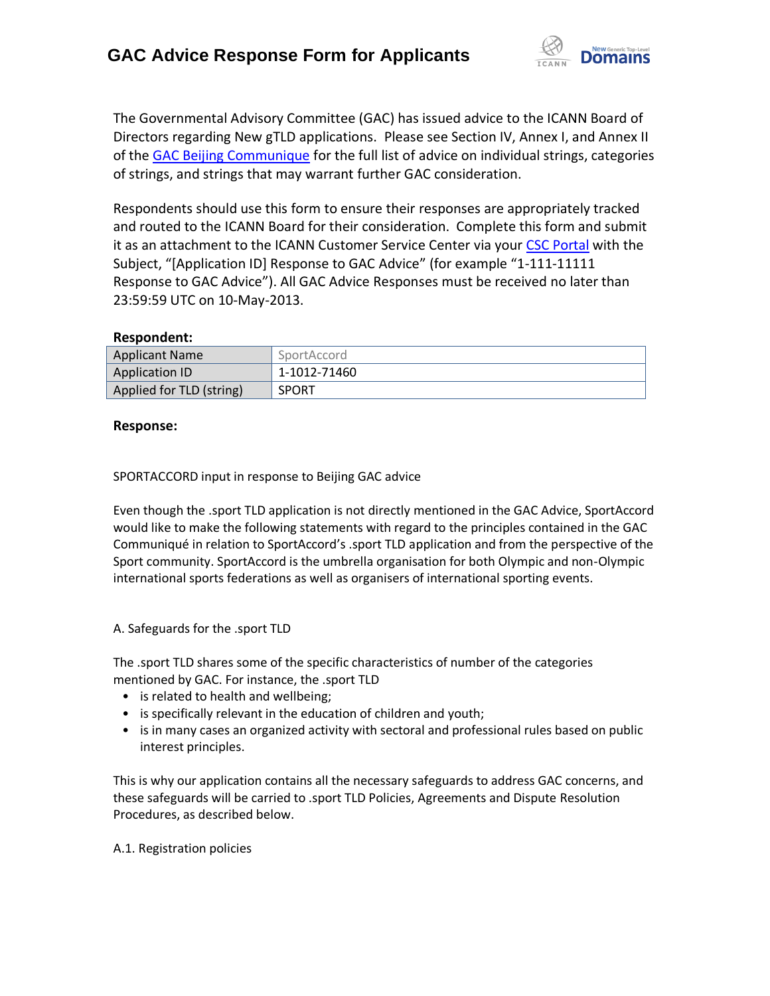

The Governmental Advisory Committee (GAC) has issued advice to the ICANN Board of Directors regarding New gTLD applications. Please see Section IV, Annex I, and Annex II of the [GAC Beijing Communique](http://www.icann.org/en/news/correspondence/gac-to-board-18apr13-en.pdf) for the full list of advice on individual strings, categories of strings, and strings that may warrant further GAC consideration.

Respondents should use this form to ensure their responses are appropriately tracked and routed to the ICANN Board for their consideration. Complete this form and submit it as an attachment to the ICANN Customer Service Center via your CSC [Portal](https://myicann.secure.force.com/) with the Subject, "[Application ID] Response to GAC Advice" (for example "1-111-11111 Response to GAC Advice"). All GAC Advice Responses must be received no later than 23:59:59 UTC on 10-May-2013.

### **Respondent:**

| <b>Applicant Name</b>    | SportAccord  |
|--------------------------|--------------|
| <b>Application ID</b>    | 1-1012-71460 |
| Applied for TLD (string) | <b>SPORT</b> |

### **Response:**

SPORTACCORD input in response to Beijing GAC advice

Even though the .sport TLD application is not directly mentioned in the GAC Advice, SportAccord would like to make the following statements with regard to the principles contained in the GAC Communiqué in relation to SportAccord's .sport TLD application and from the perspective of the Sport community. SportAccord is the umbrella organisation for both Olympic and non-Olympic international sports federations as well as organisers of international sporting events.

### A. Safeguards for the .sport TLD

The .sport TLD shares some of the specific characteristics of number of the categories mentioned by GAC. For instance, the .sport TLD

- is related to health and wellbeing;
- is specifically relevant in the education of children and youth;
- is in many cases an organized activity with sectoral and professional rules based on public interest principles.

This is why our application contains all the necessary safeguards to address GAC concerns, and these safeguards will be carried to .sport TLD Policies, Agreements and Dispute Resolution Procedures, as described below.

### A.1. Registration policies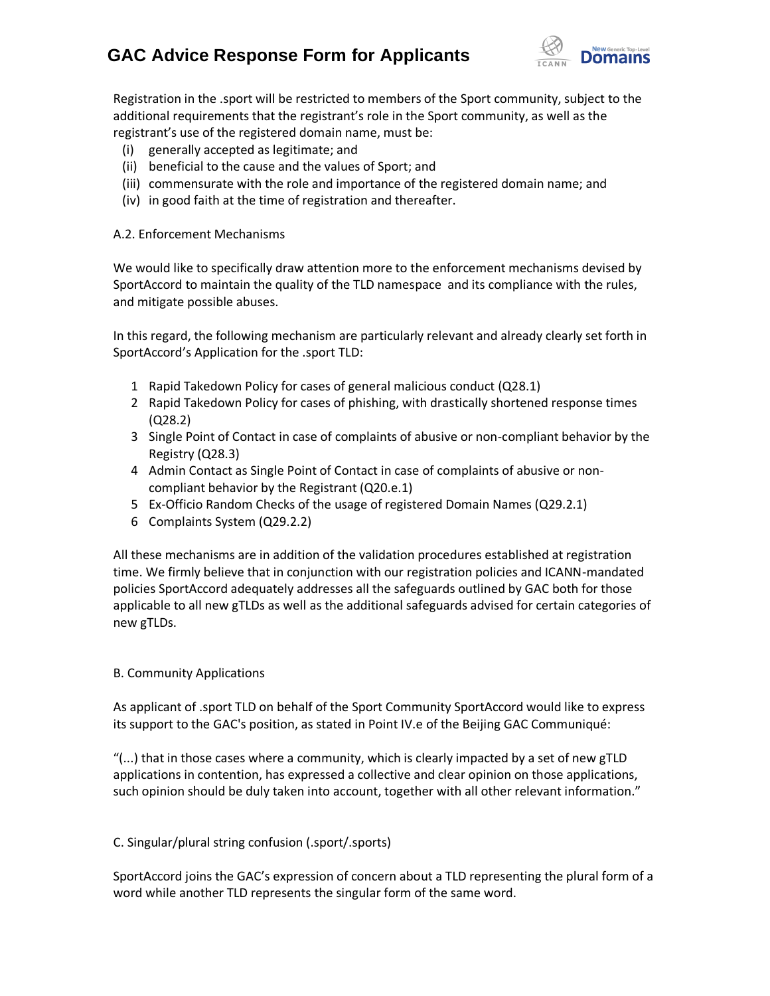# **GAC Advice Response Form for Applicants**



Registration in the .sport will be restricted to members of the Sport community, subject to the additional requirements that the registrant's role in the Sport community, as well as the registrant's use of the registered domain name, must be:

- (i) generally accepted as legitimate; and
- (ii) beneficial to the cause and the values of Sport; and
- (iii) commensurate with the role and importance of the registered domain name; and
- (iv) in good faith at the time of registration and thereafter.

#### A.2. Enforcement Mechanisms

We would like to specifically draw attention more to the enforcement mechanisms devised by SportAccord to maintain the quality of the TLD namespace and its compliance with the rules, and mitigate possible abuses.

In this regard, the following mechanism are particularly relevant and already clearly set forth in SportAccord's Application for the .sport TLD:

- 1 Rapid Takedown Policy for cases of general malicious conduct (Q28.1)
- 2 Rapid Takedown Policy for cases of phishing, with drastically shortened response times (Q28.2)
- 3 Single Point of Contact in case of complaints of abusive or non-compliant behavior by the Registry (Q28.3)
- 4 Admin Contact as Single Point of Contact in case of complaints of abusive or noncompliant behavior by the Registrant (Q20.e.1)
- 5 Ex-Officio Random Checks of the usage of registered Domain Names (Q29.2.1)
- 6 Complaints System (Q29.2.2)

All these mechanisms are in addition of the validation procedures established at registration time. We firmly believe that in conjunction with our registration policies and ICANN-mandated policies SportAccord adequately addresses all the safeguards outlined by GAC both for those applicable to all new gTLDs as well as the additional safeguards advised for certain categories of new gTLDs.

### B. Community Applications

As applicant of .sport TLD on behalf of the Sport Community SportAccord would like to express its support to the GAC's position, as stated in Point IV.e of the Beijing GAC Communiqué:

"(...) that in those cases where a community, which is clearly impacted by a set of new gTLD applications in contention, has expressed a collective and clear opinion on those applications, such opinion should be duly taken into account, together with all other relevant information."

### C. Singular/plural string confusion (.sport/.sports)

SportAccord joins the GAC's expression of concern about a TLD representing the plural form of a word while another TLD represents the singular form of the same word.